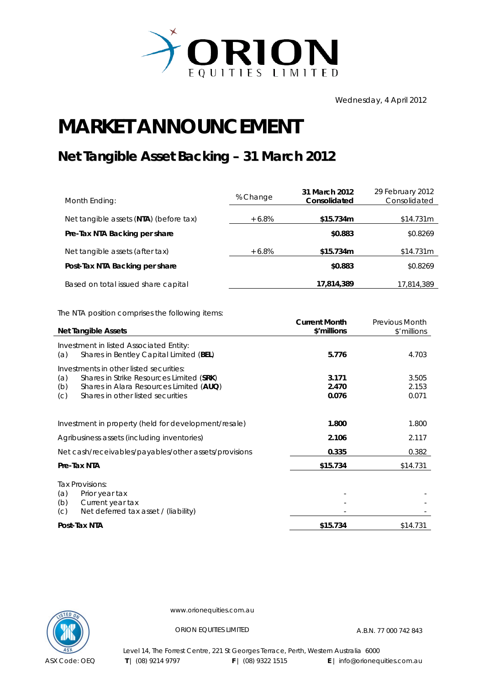

Wednesday, 4 April 2012

## **MARKET ANNOUNCEMENT**

## **Net Tangible Asset Backing – 31 March 2012**

| Month Ending:                          | % Change | 31 March 2012<br>Consolidated | 29 February 2012<br>Consolidated |
|----------------------------------------|----------|-------------------------------|----------------------------------|
| Net tangible assets (NTA) (before tax) | $+6.8\%$ | \$15.734m                     | \$14.731m                        |
| Pre-Tax NTA Backing per share          |          | \$0.883                       | \$0.8269                         |
| Net tangible assets (after tax)        | $+6.8\%$ | \$15.734m                     | \$14.731m                        |
| Post-Tax NTA Backing per share         |          | \$0.883                       | \$0.8269                         |
| Based on total issued share capital    |          | 17,814,389                    | 17,814,389                       |

The NTA position comprises the following items:

|                                                                                                                                                                                          | <b>Current Month</b>    | <b>Previous Month</b>   |
|------------------------------------------------------------------------------------------------------------------------------------------------------------------------------------------|-------------------------|-------------------------|
| <b>Net Tangible Assets</b>                                                                                                                                                               | \$'millions             | \$'millions             |
| Investment in listed Associated Entity:<br>Shares in Bentley Capital Limited (BEL)<br>(a)                                                                                                | 5.776                   | 4.703                   |
| Investments in other listed securities:<br>(a)<br>Shares in Strike Resources Limited (SRK)<br>(b)<br>Shares in Alara Resources Limited (AUQ)<br>Shares in other listed securities<br>(c) | 3.171<br>2.470<br>0.076 | 3.505<br>2.153<br>0.071 |
| Investment in property (held for development/resale)                                                                                                                                     | 1.800                   | 1.800                   |
| Agribusiness assets (including inventories)                                                                                                                                              | 2.106                   | 2.117                   |
| Net cash/receivables/payables/other assets/provisions                                                                                                                                    | 0.335                   | 0.382                   |
| Pre-Tax NTA                                                                                                                                                                              | \$15.734                | \$14.731                |
| Tax Provisions:<br>(a)<br>Prior year tax<br>Current year tax<br>(b)<br>Net deferred tax asset / (liability)<br>(C)                                                                       |                         |                         |
| Post-Tax NTA                                                                                                                                                                             | \$15.734                | \$14.731                |



www.orionequities.com.au

ORION EQUITIES LIMITED A.B.N. 77 000 742 843

Level 14, The Forrest Centre, 221 St Georges Terrace, Perth, Western Australia 6000  **T** | (08) 9214 9797 **F** | (08) 9322 1515 **E** | info@orionequities.com.au